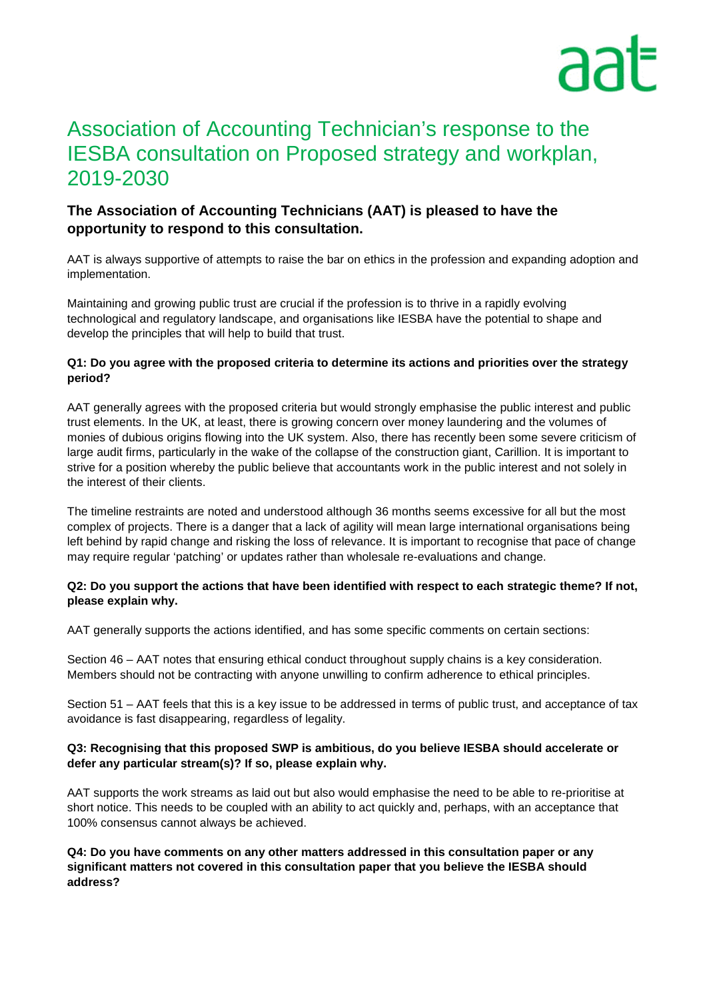# Association of Accounting Technician's response to the IESBA consultation on Proposed strategy and workplan, 2019-2030

# **The Association of Accounting Technicians (AAT) is pleased to have the opportunity to respond to this consultation.**

AAT is always supportive of attempts to raise the bar on ethics in the profession and expanding adoption and implementation.

Maintaining and growing public trust are crucial if the profession is to thrive in a rapidly evolving technological and regulatory landscape, and organisations like IESBA have the potential to shape and develop the principles that will help to build that trust.

#### **Q1: Do you agree with the proposed criteria to determine its actions and priorities over the strategy period?**

AAT generally agrees with the proposed criteria but would strongly emphasise the public interest and public trust elements. In the UK, at least, there is growing concern over money laundering and the volumes of monies of dubious origins flowing into the UK system. Also, there has recently been some severe criticism of large audit firms, particularly in the wake of the collapse of the construction giant, Carillion. It is important to strive for a position whereby the public believe that accountants work in the public interest and not solely in the interest of their clients.

The timeline restraints are noted and understood although 36 months seems excessive for all but the most complex of projects. There is a danger that a lack of agility will mean large international organisations being left behind by rapid change and risking the loss of relevance. It is important to recognise that pace of change may require regular 'patching' or updates rather than wholesale re-evaluations and change.

#### **Q2: Do you support the actions that have been identified with respect to each strategic theme? If not, please explain why.**

AAT generally supports the actions identified, and has some specific comments on certain sections:

Section 46 – AAT notes that ensuring ethical conduct throughout supply chains is a key consideration. Members should not be contracting with anyone unwilling to confirm adherence to ethical principles.

Section 51 – AAT feels that this is a key issue to be addressed in terms of public trust, and acceptance of tax avoidance is fast disappearing, regardless of legality.

#### **Q3: Recognising that this proposed SWP is ambitious, do you believe IESBA should accelerate or defer any particular stream(s)? If so, please explain why.**

AAT supports the work streams as laid out but also would emphasise the need to be able to re-prioritise at short notice. This needs to be coupled with an ability to act quickly and, perhaps, with an acceptance that 100% consensus cannot always be achieved.

**Q4: Do you have comments on any other matters addressed in this consultation paper or any significant matters not covered in this consultation paper that you believe the IESBA should address?**